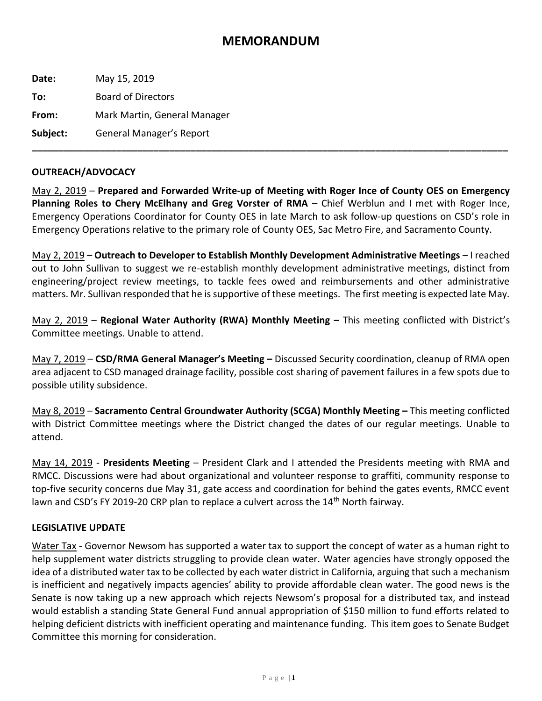## **MEMORANDUM**

**Date:** May 15, 2019 **To:** Board of Directors **From:** Mark Martin, General Manager **Subject:** General Manager's Report **\_\_\_\_\_\_\_\_\_\_\_\_\_\_\_\_\_\_\_\_\_\_\_\_\_\_\_\_\_\_\_\_\_\_\_\_\_\_\_\_\_\_\_\_\_\_\_\_\_\_\_\_\_\_\_\_\_\_\_\_\_\_\_\_\_\_\_\_\_\_\_\_\_\_\_\_\_\_\_\_\_\_\_\_\_\_\_\_\_\_**

## **OUTREACH/ADVOCACY**

May 2, 2019 – **Prepared and Forwarded Write-up of Meeting with Roger Ince of County OES on Emergency Planning Roles to Chery McElhany and Greg Vorster of RMA** – Chief Werblun and I met with Roger Ince, Emergency Operations Coordinator for County OES in late March to ask follow-up questions on CSD's role in Emergency Operations relative to the primary role of County OES, Sac Metro Fire, and Sacramento County.

May 2, 2019 – **Outreach to Developer to Establish Monthly Development Administrative Meetings** – I reached out to John Sullivan to suggest we re-establish monthly development administrative meetings, distinct from engineering/project review meetings, to tackle fees owed and reimbursements and other administrative matters. Mr. Sullivan responded that he is supportive of these meetings. The first meeting is expected late May.

May 2, 2019 – **Regional Water Authority (RWA) Monthly Meeting –** This meeting conflicted with District's Committee meetings. Unable to attend.

May 7, 2019 – **CSD/RMA General Manager's Meeting –** Discussed Security coordination, cleanup of RMA open area adjacent to CSD managed drainage facility, possible cost sharing of pavement failures in a few spots due to possible utility subsidence.

May 8, 2019 – **Sacramento Central Groundwater Authority (SCGA) Monthly Meeting –** This meeting conflicted with District Committee meetings where the District changed the dates of our regular meetings. Unable to attend.

May 14, 2019 - **Presidents Meeting** – President Clark and I attended the Presidents meeting with RMA and RMCC. Discussions were had about organizational and volunteer response to graffiti, community response to top-five security concerns due May 31, gate access and coordination for behind the gates events, RMCC event lawn and CSD's FY 2019-20 CRP plan to replace a culvert across the 14<sup>th</sup> North fairway.

## **LEGISLATIVE UPDATE**

Water Tax - Governor Newsom has supported a water tax to support the concept of water as a human right to help supplement water districts struggling to provide clean water. Water agencies have strongly opposed the idea of a distributed water tax to be collected by each water district in California, arguing that such a mechanism is inefficient and negatively impacts agencies' ability to provide affordable clean water. The good news is the Senate is now taking up a new approach which rejects Newsom's proposal for a distributed tax, and instead would establish a standing State General Fund annual appropriation of \$150 million to fund efforts related to helping deficient districts with inefficient operating and maintenance funding. This item goes to Senate Budget Committee this morning for consideration.